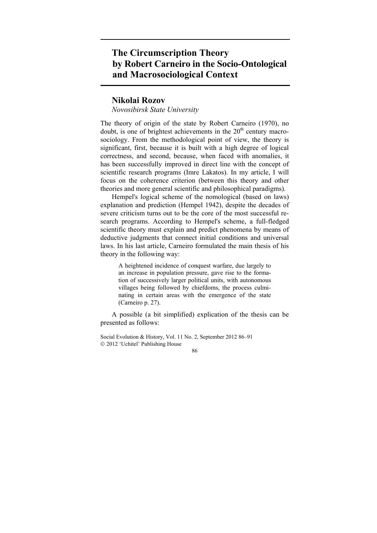## **The Circumscription Theory by Robert Carneiro in the Socio-Ontological and Macrosociological Context**

## **Nikolai Rozov**

*Novosibirsk State University* 

The theory of origin of the state by Robert Carneiro (1970), no doubt, is one of brightest achievements in the  $20<sup>th</sup>$  century macrosociology. From the methodological point of view, the theory is significant, first, because it is built with a high degree of logical correctness, and second, because, when faced with anomalies, it has been successfully improved in direct line with the concept of scientific research programs (Imre Lakatos). In my article, I will focus on the coherence criterion (between this theory and other theories and more general scientific and philosophical paradigms).

Hempel's logical scheme of the nomological (based on laws) explanation and prediction (Hempel 1942), despite the decades of severe criticism turns out to be the core of the most successful research programs. According to Hempel's scheme, a full-fledged scientific theory must explain and predict phenomena by means of deductive judgments that connect initial conditions and universal laws. In his last article, Carneiro formulated the main thesis of his theory in the following way:

A heightened incidence of conquest warfare, due largely to an increase in population pressure, gave rise to the formation of successively larger political units, with autonomous villages being followed by chiefdoms, the process culminating in certain areas with the emergence of the state (Carneiro p. 27).

A possible (a bit simplified) explication of the thesis can be presented as follows:

Social Evolution & History, Vol. 11 No. 2, September 2012 86–91 2012 'Uchitel' Publishing House

86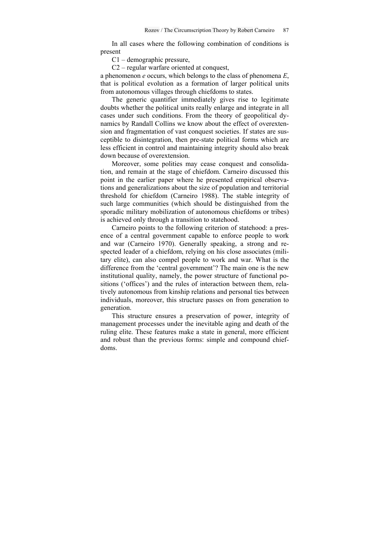In all cases where the following combination of conditions is present

C1 – demographic pressure,

C2 – regular warfare oriented at conquest,

a phenomenon *e* occurs, which belongs to the class of phenomena *E*, that is political evolution as a formation of larger political units from autonomous villages through chiefdoms to states.

The generic quantifier immediately gives rise to legitimate doubts whether the political units really enlarge and integrate in all cases under such conditions. From the theory of geopolitical dynamics by Randall Collins we know about the effect of overextension and fragmentation of vast conquest societies. If states are susceptible to disintegration, then pre-state political forms which are less efficient in control and maintaining integrity should also break down because of overextension.

Moreover, some polities may cease conquest and consolidation, and remain at the stage of chiefdom. Carneiro discussed this point in the earlier paper where he presented empirical observations and generalizations about the size of population and territorial threshold for chiefdom (Carneiro 1988). The stable integrity of such large communities (which should be distinguished from the sporadic military mobilization of autonomous chiefdoms or tribes) is achieved only through a transition to statehood.

Carneiro points to the following criterion of statehood: a presence of a central government capable to enforce people to work and war (Carneiro 1970). Generally speaking, a strong and respected leader of a chiefdom, relying on his close associates (military elite), can also compel people to work and war. What is the difference from the 'central government'? The main one is the new institutional quality, namely, the power structure of functional positions ('offices') and the rules of interaction between them, relatively autonomous from kinship relations and personal ties between individuals, moreover, this structure passes on from generation to generation.

This structure ensures a preservation of power, integrity of management processes under the inevitable aging and death of the ruling elite. These features make a state in general, more efficient and robust than the previous forms: simple and compound chiefdoms.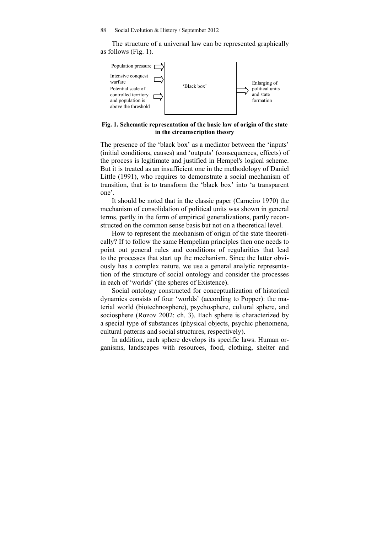The structure of a universal law can be represented graphically as follows (Fig. 1).



## **Fig. 1. Schematic representation of the basic law of origin of the state in the circumscription theory**

The presence of the 'black box' as a mediator between the 'inputs' (initial conditions, causes) and 'outputs' (consequences, effects) of the process is legitimate and justified in Hempel's logical scheme. But it is treated as an insufficient one in the methodology of Daniel Little (1991), who requires to demonstrate a social mechanism of transition, that is to transform the 'black box' into 'a transparent one'.

It should be noted that in the classic paper (Carneiro 1970) the mechanism of consolidation of political units was shown in general terms, partly in the form of empirical generalizations, partly reconstructed on the common sense basis but not on a theoretical level.

How to represent the mechanism of origin of the state theoretically? If to follow the same Hempelian principles then one needs to point out general rules and conditions of regularities that lead to the processes that start up the mechanism. Since the latter obviously has a complex nature, we use a general analytic representation of the structure of social ontology and consider the processes in each of 'worlds' (the spheres of Existence).

Social ontology constructed for conceptualization of historical dynamics consists of four 'worlds' (according to Popper): the material world (biotechnosphere), psychosphere, cultural sphere, and sociosphere (Rozov 2002: ch. 3). Each sphere is characterized by a special type of substances (physical objects, psychic phenomena, cultural patterns and social structures, respectively).

In addition, each sphere develops its specific laws. Human organisms, landscapes with resources, food, clothing, shelter and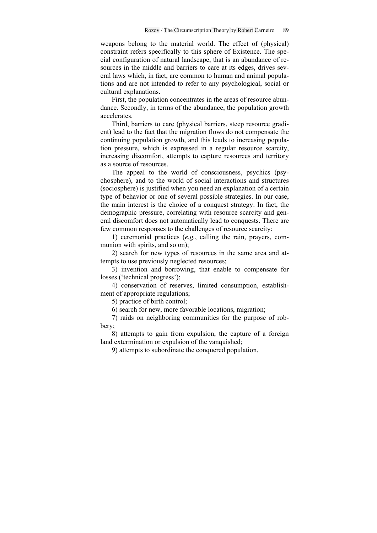weapons belong to the material world. The effect of (physical) constraint refers specifically to this sphere of Existence. The special configuration of natural landscape, that is an abundance of resources in the middle and barriers to care at its edges, drives several laws which, in fact, are common to human and animal populations and are not intended to refer to any psychological, social or cultural explanations.

First, the population concentrates in the areas of resource abundance. Secondly, in terms of the abundance, the population growth accelerates.

Third, barriers to care (physical barriers, steep resource gradient) lead to the fact that the migration flows do not compensate the continuing population growth, and this leads to increasing population pressure, which is expressed in a regular resource scarcity, increasing discomfort, attempts to capture resources and territory as a source of resources.

The appeal to the world of consciousness, psychics (psychosphere), and to the world of social interactions and structures (sociosphere) is justified when you need an explanation of a certain type of behavior or one of several possible strategies. In our case, the main interest is the choice of a conquest strategy. In fact, the demographic pressure, correlating with resource scarcity and general discomfort does not automatically lead to conquests. There are few common responses to the challenges of resource scarcity:

1) ceremonial practices (*e.g.*, calling the rain, prayers, communion with spirits, and so on);

2) search for new types of resources in the same area and attempts to use previously neglected resources;

3) invention and borrowing, that enable to compensate for losses ('technical progress');

4) conservation of reserves, limited consumption, establishment of appropriate regulations;

5) practice of birth control;

6) search for new, more favorable locations, migration;

7) raids on neighboring communities for the purpose of robbery;

8) attempts to gain from expulsion, the capture of a foreign land extermination or expulsion of the vanquished;

9) attempts to subordinate the conquered population.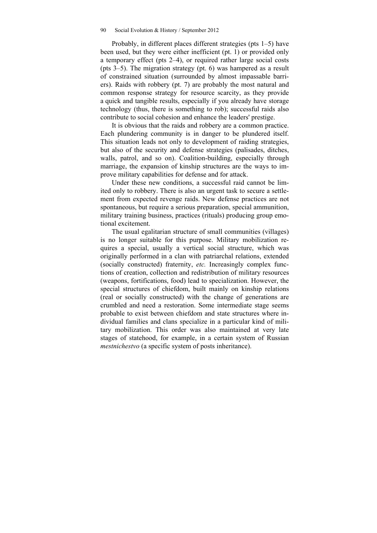Probably, in different places different strategies (pts 1–5) have been used, but they were either inefficient (pt. 1) or provided only a temporary effect (pts 2–4), or required rather large social costs (pts 3–5). The migration strategy (pt. 6) was hampered as a result of constrained situation (surrounded by almost impassable barriers). Raids with robbery (pt. 7) are probably the most natural and common response strategy for resource scarcity, as they provide a quick and tangible results, especially if you already have storage technology (thus, there is something to rob); successful raids also contribute to social cohesion and enhance the leaders' prestige.

It is obvious that the raids and robbery are a common practice. Each plundering community is in danger to be plundered itself. This situation leads not only to development of raiding strategies, but also of the security and defense strategies (palisades, ditches, walls, patrol, and so on). Coalition-building, especially through marriage, the expansion of kinship structures are the ways to improve military capabilities for defense and for attack.

Under these new conditions, a successful raid cannot be limited only to robbery. There is also an urgent task to secure a settlement from expected revenge raids. New defense practices are not spontaneous, but require a serious preparation, special ammunition, military training business, practices (rituals) producing group emotional excitement.

The usual egalitarian structure of small communities (villages) is no longer suitable for this purpose. Military mobilization requires a special, usually a vertical social structure, which was originally performed in a clan with patriarchal relations, extended (socially constructed) fraternity, *etc.* Increasingly complex functions of creation, collection and redistribution of military resources (weapons, fortifications, food) lead to specialization. However, the special structures of chiefdom, built mainly on kinship relations (real or socially constructed) with the change of generations are crumbled and need a restoration. Some intermediate stage seems probable to exist between chiefdom and state structures where individual families and clans specialize in a particular kind of military mobilization. This order was also maintained at very late stages of statehood, for example, in a certain system of Russian *mestnichestvo* (a specific system of posts inheritance).